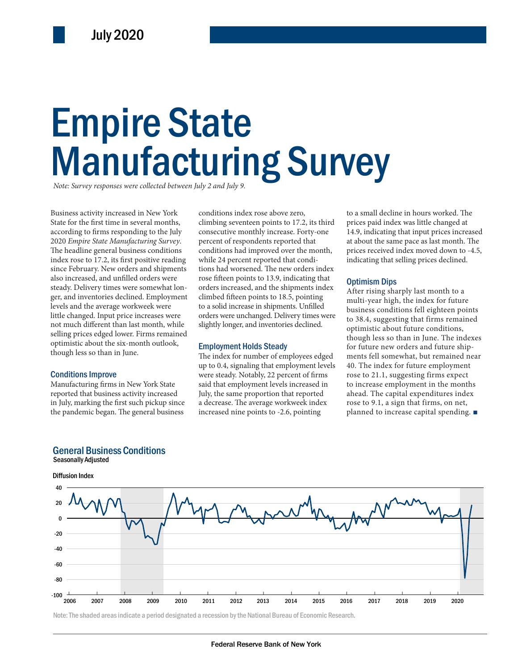# Empire State Manufacturing Survey

*Note: Survey responses were collected between July 2 and July 9.*

han last month, while slightly longer, and inventories declined.<br>
lower. Firms remained<br>
six-month outlook,<br> **Employment Holds Steady**<br>
though less so the form turner we or<br>
The index for number of employees edged monte fo Business activity increased in New York State for the first time in several months, according to firms responding to the July 2020 *Empire State Manufacturing Survey*. The headline general business conditions index rose to 17.2, its first positive reading since February. New orders and shipments also increased, and unfilled orders were steady. Delivery times were somewhat longer, and inventories declined. Employment levels and the average workweek were little changed. Input price increases were not much different than last month, while selling prices edged lower. Firms remained optimistic about the six-month outlook, though less so than in June.

#### Conditions Improve

Seasonally Adjusted

Manufacturing firms in New York State reported that business activity increased in July, marking the first such pickup since the pandemic began. The general business

General Business Conditions

conditions index rose above zero, climbing seventeen points to 17.2, its third consecutive monthly increase. Forty-one percent of respondents reported that conditions had improved over the month, while 24 percent reported that conditions had worsened. The new orders index rose fifteen points to 13.9, indicating that orders increased, and the shipments index climbed fifteen points to 18.5, pointing to a solid increase in shipments. Unfilled orders were unchanged. Delivery times were

#### Employment Holds Steady

The index for number of employees edged up to 0.4, signaling that employment levels were steady. Notably, 22 percent of firms said that employment levels increased in July, the same proportion that reported a decrease. The average workweek index increased nine points to -2.6, pointing

to a small decline in hours worked. The prices paid index was little changed at 14.9, indicating that input prices increased at about the same pace as last month. The prices received index moved down to -4.5, indicating that selling prices declined.

#### Optimism Dips

After rising sharply last month to a multi-year high, the index for future business conditions fell eighteen points to 38.4, suggesting that firms remained optimistic about future conditions, though less so than in June. The indexes for future new orders and future shipments fell somewhat, but remained near 40. The index for future employment rose to 21.1, suggesting firms expect to increase employment in the months ahead. The capital expenditures index rose to 9.1, a sign that firms, on net, planned to increase capital spending. ■



#### Note: The shaded areas indicate a period designated a recession by the National Bureau of Economic Research.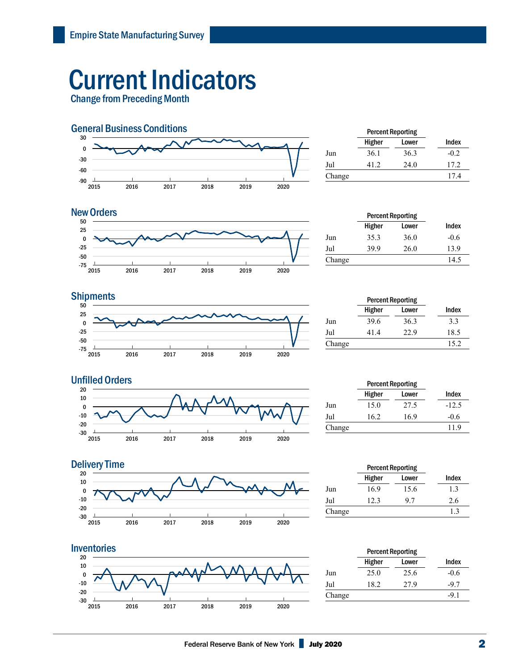## Current Indicators

Change from Preceding Month



|        | <b>Percent Reporting</b> |       |        |
|--------|--------------------------|-------|--------|
|        | Higher                   | Lower | Index  |
| Jun    | 36.1                     | 36.3  | $-0.2$ |
| Jul    | 41.2                     | 24.0  | 17.2   |
| Change |                          |       | 17.4   |
|        |                          |       |        |



| <b>New Orders</b> |        |        | <b>Percent Reporting</b> |        |
|-------------------|--------|--------|--------------------------|--------|
| 50<br>25          |        | Higher | Lower                    | Index  |
|                   | Jun    | 35.3   | 36.0                     | $-0.6$ |
| $-25$             | Jul    | 39.9   | 26.0                     | 13.9   |
| -50<br>$-75$      | Change |        |                          | 14.5   |

### **Shipments**



|        | <b>Percent Reporting</b> |       |       |  |
|--------|--------------------------|-------|-------|--|
|        | Higher                   | Lower | Index |  |
| Jun    | 39.6                     | 36.3  | 3.3   |  |
| Jul    | 41.4                     | 22.9  | 18.5  |  |
| Change |                          |       | 15.2  |  |



|        | <b>Percent Reporting</b> |       |         |  |
|--------|--------------------------|-------|---------|--|
|        | Higher                   | Lower | Index   |  |
| Jun    | 15.0                     | 27.5  | $-12.5$ |  |
| Jul    | 16.2                     | 16.9  | $-0.6$  |  |
| Change |                          |       | 11.9    |  |



|        | <b>Percent Reporting</b> |       |       |
|--------|--------------------------|-------|-------|
|        | Higher                   | Lower | Index |
| Jun    | 16.9                     | 15.6  | 1.3   |
| Jul    | 12.3                     | 9.7   | 2.6   |
| Change |                          |       | 1.3   |
|        |                          |       |       |



|        | <b>Percent Reporting</b> |       |        |  |
|--------|--------------------------|-------|--------|--|
|        | Higher                   | Lower | Index  |  |
| Jun    | 25.0                     | 25.6  | $-0.6$ |  |
| Jul    | 18.2                     | 27.9  | $-9.7$ |  |
| Change |                          |       | $-9.1$ |  |
|        |                          |       |        |  |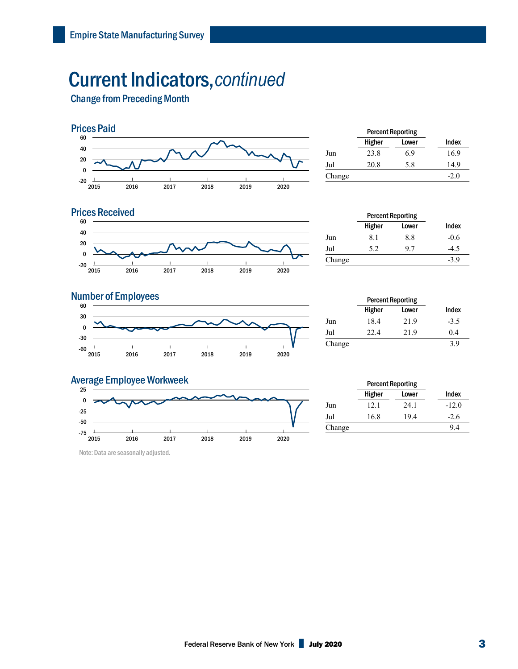### Current Indicators,*continued*

Change from Preceding Month



|        | <b>Percent Reporting</b> |       |        |
|--------|--------------------------|-------|--------|
|        | Higher                   | Lower | Index  |
| Jun    | 23.8                     | 6.9   | 16.9   |
| Jul    | 20.8                     | 5.8   | 14.9   |
| Change |                          |       | $-2.0$ |
|        |                          |       |        |

#### **Prices Received**



|        | <b>Percent Reporting</b> |       |        |
|--------|--------------------------|-------|--------|
|        | Higher                   | Lower | Index  |
| Jun    | 8.1                      | 8.8   | $-0.6$ |
| Jul    | 5.2                      | 9.7   | -4.5   |
| Change |                          |       | $-3.9$ |

### **Number of Employees**



|        | <b>Percent Reporting</b> |       |        |
|--------|--------------------------|-------|--------|
|        | Higher                   | Lower | Index  |
| Jun    | 18.4                     | 21.9  | $-3.5$ |
| Jul    | 22.4                     | 21.9  | 0.4    |
| Change |                          |       | 3.9    |

#### Average Employee Workweek



Note: Data are seasonally adjusted.

|        | <b>Percent Reporting</b> |       |         |  |
|--------|--------------------------|-------|---------|--|
|        | Higher                   | Lower | Index   |  |
| Jun    | 12.1                     | 24.1  | $-12.0$ |  |
| Jul    | 16.8                     | 19.4  | $-2.6$  |  |
| Change |                          |       | 9.4     |  |
|        |                          |       |         |  |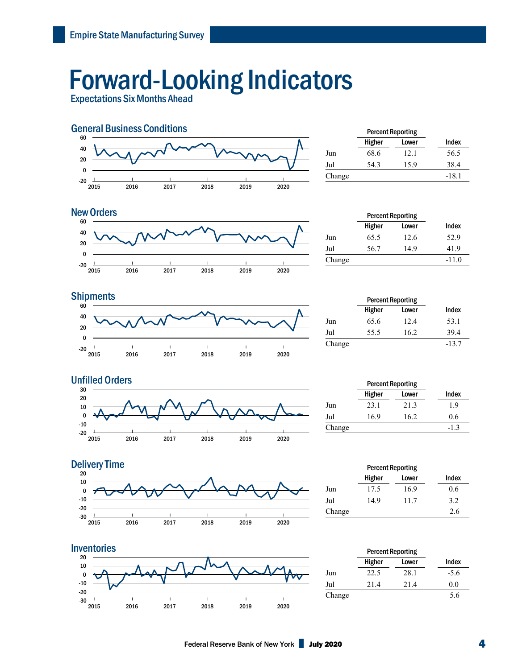## Forward-Looking Indicators

Expectations Six Months Ahead



|        | <b>Percent Reporting</b> |       |         |
|--------|--------------------------|-------|---------|
|        | Higher                   | Lower | Index   |
| Jun    | 68.6                     | 12.1  | 56.5    |
| Jul    | 54.3                     | 15.9  | 38.4    |
| Change |                          |       | $-18.1$ |



|        | <b>Percent Reporting</b> |       |         |
|--------|--------------------------|-------|---------|
|        | Higher                   | Lower | Index   |
| Jun    | 65.5                     | 12.6  | 52.9    |
| Jul    | 56.7                     | 14.9  | 41.9    |
| Change |                          |       | $-11.0$ |
|        |                          |       |         |

#### **Shipments**



|        | <b>Percent Reporting</b> |       |         |
|--------|--------------------------|-------|---------|
|        | Higher                   | Lower | Index   |
| Jun    | 65.6                     | 12.4  | 53.1    |
| Jul    | 55.5                     | 16.2  | 39.4    |
| Change |                          |       | $-13.7$ |







|        | Percent Reporting |       |        |
|--------|-------------------|-------|--------|
|        | Higher            | Lower | Index  |
| Jun    | 23.1              | 21.3  | 1.9    |
| Jul    | 16.9              | 16.2  | 0.6    |
| Change |                   |       | $-1.3$ |
|        |                   |       |        |

| <b>Percent Reporting</b> |       |       |
|--------------------------|-------|-------|
| Higher                   | Lower | Index |
| 17.5                     | 16.9  | 0.6   |
| 14.9                     | 11.7  | 3.2   |
|                          |       | 2.6   |
|                          |       |       |

|        | <b>Percent Reporting</b> |       |        |
|--------|--------------------------|-------|--------|
|        | Higher                   | Lower | Index  |
| Jun    | 22.5                     | 28.1  | $-5.6$ |
| Jul    | 21.4                     | 21.4  | 0.0    |
| Change |                          |       | 5.6    |
|        |                          |       |        |